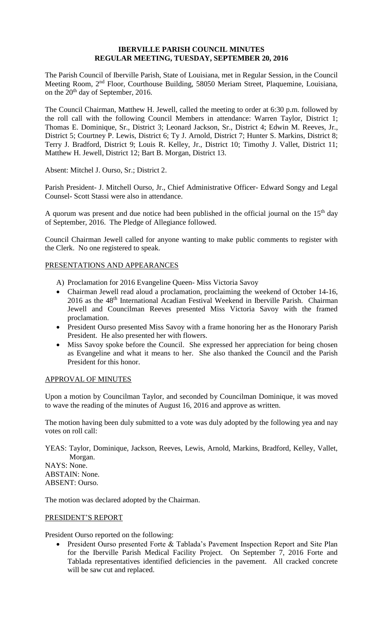# **IBERVILLE PARISH COUNCIL MINUTES REGULAR MEETING, TUESDAY, SEPTEMBER 20, 2016**

The Parish Council of Iberville Parish, State of Louisiana, met in Regular Session, in the Council Meeting Room, 2nd Floor, Courthouse Building, 58050 Meriam Street, Plaquemine, Louisiana, on the 20<sup>th</sup> day of September, 2016.

The Council Chairman, Matthew H. Jewell, called the meeting to order at 6:30 p.m. followed by the roll call with the following Council Members in attendance: Warren Taylor, District 1; Thomas E. Dominique, Sr., District 3; Leonard Jackson, Sr., District 4; Edwin M. Reeves, Jr., District 5; Courtney P. Lewis, District 6; Ty J. Arnold, District 7; Hunter S. Markins, District 8; Terry J. Bradford, District 9; Louis R. Kelley, Jr., District 10; Timothy J. Vallet, District 11; Matthew H. Jewell, District 12; Bart B. Morgan, District 13.

Absent: Mitchel J. Ourso, Sr.; District 2.

Parish President- J. Mitchell Ourso, Jr., Chief Administrative Officer- Edward Songy and Legal Counsel- Scott Stassi were also in attendance.

A quorum was present and due notice had been published in the official journal on the  $15<sup>th</sup>$  day of September, 2016. The Pledge of Allegiance followed.

Council Chairman Jewell called for anyone wanting to make public comments to register with the Clerk. No one registered to speak.

# PRESENTATIONS AND APPEARANCES

- A) Proclamation for 2016 Evangeline Queen- Miss Victoria Savoy
- Chairman Jewell read aloud a proclamation, proclaiming the weekend of October 14-16, 2016 as the 48th International Acadian Festival Weekend in Iberville Parish. Chairman Jewell and Councilman Reeves presented Miss Victoria Savoy with the framed proclamation.
- President Ourso presented Miss Savoy with a frame honoring her as the Honorary Parish President. He also presented her with flowers.
- Miss Savoy spoke before the Council. She expressed her appreciation for being chosen as Evangeline and what it means to her. She also thanked the Council and the Parish President for this honor.

# APPROVAL OF MINUTES

Upon a motion by Councilman Taylor, and seconded by Councilman Dominique, it was moved to wave the reading of the minutes of August 16, 2016 and approve as written.

The motion having been duly submitted to a vote was duly adopted by the following yea and nay votes on roll call:

YEAS: Taylor, Dominique, Jackson, Reeves, Lewis, Arnold, Markins, Bradford, Kelley, Vallet, Morgan.

NAYS: None. ABSTAIN: None. ABSENT: Ourso.

The motion was declared adopted by the Chairman.

# PRESIDENT'S REPORT

President Ourso reported on the following:

• President Ourso presented Forte & Tablada's Pavement Inspection Report and Site Plan for the Iberville Parish Medical Facility Project. On September 7, 2016 Forte and Tablada representatives identified deficiencies in the pavement. All cracked concrete will be saw cut and replaced.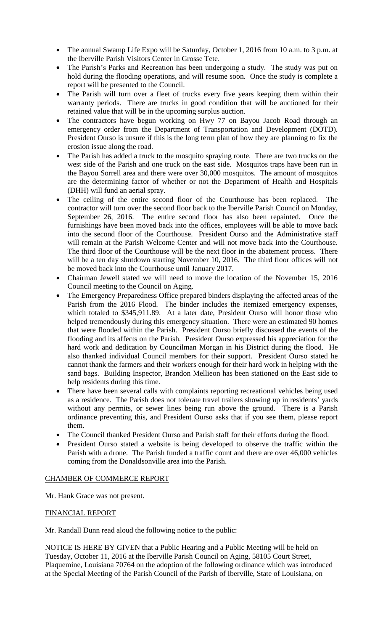- The annual Swamp Life Expo will be Saturday, October 1, 2016 from 10 a.m. to 3 p.m. at the Iberville Parish Visitors Center in Grosse Tete.
- The Parish's Parks and Recreation has been undergoing a study. The study was put on hold during the flooding operations, and will resume soon. Once the study is complete a report will be presented to the Council.
- The Parish will turn over a fleet of trucks every five years keeping them within their warranty periods. There are trucks in good condition that will be auctioned for their retained value that will be in the upcoming surplus auction.
- The contractors have begun working on Hwy 77 on Bayou Jacob Road through an emergency order from the Department of Transportation and Development (DOTD). President Ourso is unsure if this is the long term plan of how they are planning to fix the erosion issue along the road.
- The Parish has added a truck to the mosquito spraying route. There are two trucks on the west side of the Parish and one truck on the east side. Mosquitos traps have been run in the Bayou Sorrell area and there were over 30,000 mosquitos. The amount of mosquitos are the determining factor of whether or not the Department of Health and Hospitals (DHH) will fund an aerial spray.
- The ceiling of the entire second floor of the Courthouse has been replaced. The contractor will turn over the second floor back to the Iberville Parish Council on Monday, September 26, 2016. The entire second floor has also been repainted. Once the furnishings have been moved back into the offices, employees will be able to move back into the second floor of the Courthouse. President Ourso and the Administrative staff will remain at the Parish Welcome Center and will not move back into the Courthouse. The third floor of the Courthouse will be the next floor in the abatement process. There will be a ten day shutdown starting November 10, 2016. The third floor offices will not be moved back into the Courthouse until January 2017.
- Chairman Jewell stated we will need to move the location of the November 15, 2016 Council meeting to the Council on Aging.
- The Emergency Preparedness Office prepared binders displaying the affected areas of the Parish from the 2016 Flood. The binder includes the itemized emergency expenses, which totaled to \$345,911.89. At a later date, President Ourso will honor those who helped tremendously during this emergency situation. There were an estimated 90 homes that were flooded within the Parish. President Ourso briefly discussed the events of the flooding and its affects on the Parish. President Ourso expressed his appreciation for the hard work and dedication by Councilman Morgan in his District during the flood. He also thanked individual Council members for their support. President Ourso stated he cannot thank the farmers and their workers enough for their hard work in helping with the sand bags. Building Inspector, Brandon Mellieon has been stationed on the East side to help residents during this time.
- There have been several calls with complaints reporting recreational vehicles being used as a residence. The Parish does not tolerate travel trailers showing up in residents' yards without any permits, or sewer lines being run above the ground. There is a Parish ordinance preventing this, and President Ourso asks that if you see them, please report them.
- The Council thanked President Ourso and Parish staff for their efforts during the flood.
- President Ourso stated a website is being developed to observe the traffic within the Parish with a drone. The Parish funded a traffic count and there are over 46,000 vehicles coming from the Donaldsonville area into the Parish.

# CHAMBER OF COMMERCE REPORT

Mr. Hank Grace was not present.

# FINANCIAL REPORT

Mr. Randall Dunn read aloud the following notice to the public:

NOTICE IS HERE BY GIVEN that a Public Hearing and a Public Meeting will be held on Tuesday, October 11, 2016 at the Iberville Parish Council on Aging, 58105 Court Street, Plaquemine, Louisiana 70764 on the adoption of the following ordinance which was introduced at the Special Meeting of the Parish Council of the Parish of Iberville, State of Louisiana, on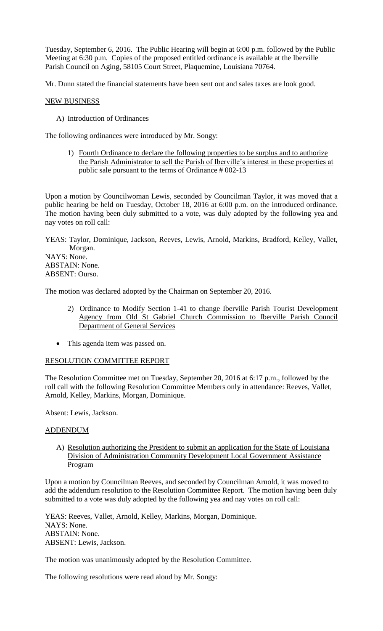Tuesday, September 6, 2016. The Public Hearing will begin at 6:00 p.m. followed by the Public Meeting at 6:30 p.m. Copies of the proposed entitled ordinance is available at the Iberville Parish Council on Aging, 58105 Court Street, Plaquemine, Louisiana 70764.

Mr. Dunn stated the financial statements have been sent out and sales taxes are look good.

#### NEW BUSINESS

A) Introduction of Ordinances

The following ordinances were introduced by Mr. Songy:

1) Fourth Ordinance to declare the following properties to be surplus and to authorize the Parish Administrator to sell the Parish of Iberville's interest in these properties at public sale pursuant to the terms of Ordinance # 002-13

Upon a motion by Councilwoman Lewis, seconded by Councilman Taylor, it was moved that a public hearing be held on Tuesday, October 18, 2016 at 6:00 p.m. on the introduced ordinance. The motion having been duly submitted to a vote, was duly adopted by the following yea and nay votes on roll call:

YEAS: Taylor, Dominique, Jackson, Reeves, Lewis, Arnold, Markins, Bradford, Kelley, Vallet, Morgan. NAYS: None. ABSTAIN: None.

ABSENT: Ourso.

The motion was declared adopted by the Chairman on September 20, 2016.

- 2) Ordinance to Modify Section 1-41 to change Iberville Parish Tourist Development Agency from Old St Gabriel Church Commission to Iberville Parish Council Department of General Services
- This agenda item was passed on.

# RESOLUTION COMMITTEE REPORT

The Resolution Committee met on Tuesday, September 20, 2016 at 6:17 p.m., followed by the roll call with the following Resolution Committee Members only in attendance: Reeves, Vallet, Arnold, Kelley, Markins, Morgan, Dominique.

Absent: Lewis, Jackson.

#### ADDENDUM

A) Resolution authorizing the President to submit an application for the State of Louisiana Division of Administration Community Development Local Government Assistance Program

Upon a motion by Councilman Reeves, and seconded by Councilman Arnold, it was moved to add the addendum resolution to the Resolution Committee Report. The motion having been duly submitted to a vote was duly adopted by the following yea and nay votes on roll call:

YEAS: Reeves, Vallet, Arnold, Kelley, Markins, Morgan, Dominique. NAYS: None. ABSTAIN: None. ABSENT: Lewis, Jackson.

The motion was unanimously adopted by the Resolution Committee.

The following resolutions were read aloud by Mr. Songy: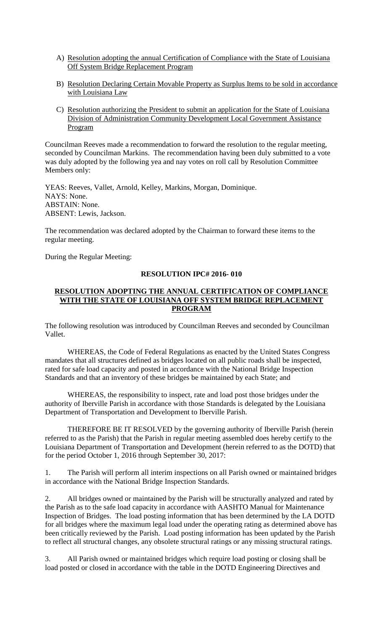- A) Resolution adopting the annual Certification of Compliance with the State of Louisiana Off System Bridge Replacement Program
- B) Resolution Declaring Certain Movable Property as Surplus Items to be sold in accordance with Louisiana Law
- C) Resolution authorizing the President to submit an application for the State of Louisiana Division of Administration Community Development Local Government Assistance Program

Councilman Reeves made a recommendation to forward the resolution to the regular meeting, seconded by Councilman Markins. The recommendation having been duly submitted to a vote was duly adopted by the following yea and nay votes on roll call by Resolution Committee Members only:

YEAS: Reeves, Vallet, Arnold, Kelley, Markins, Morgan, Dominique. NAYS: None. ABSTAIN: None. ABSENT: Lewis, Jackson.

The recommendation was declared adopted by the Chairman to forward these items to the regular meeting.

During the Regular Meeting:

# **RESOLUTION IPC# 2016- 010**

### **RESOLUTION ADOPTING THE ANNUAL CERTIFICATION OF COMPLIANCE WITH THE STATE OF LOUISIANA OFF SYSTEM BRIDGE REPLACEMENT PROGRAM**

The following resolution was introduced by Councilman Reeves and seconded by Councilman Vallet.

WHEREAS, the Code of Federal Regulations as enacted by the United States Congress mandates that all structures defined as bridges located on all public roads shall be inspected, rated for safe load capacity and posted in accordance with the National Bridge Inspection Standards and that an inventory of these bridges be maintained by each State; and

WHEREAS, the responsibility to inspect, rate and load post those bridges under the authority of Iberville Parish in accordance with those Standards is delegated by the Louisiana Department of Transportation and Development to Iberville Parish.

THEREFORE BE IT RESOLVED by the governing authority of Iberville Parish (herein referred to as the Parish) that the Parish in regular meeting assembled does hereby certify to the Louisiana Department of Transportation and Development (herein referred to as the DOTD) that for the period October 1, 2016 through September 30, 2017:

1. The Parish will perform all interim inspections on all Parish owned or maintained bridges in accordance with the National Bridge Inspection Standards.

2. All bridges owned or maintained by the Parish will be structurally analyzed and rated by the Parish as to the safe load capacity in accordance with AASHTO Manual for Maintenance Inspection of Bridges. The load posting information that has been determined by the LA DOTD for all bridges where the maximum legal load under the operating rating as determined above has been critically reviewed by the Parish. Load posting information has been updated by the Parish to reflect all structural changes, any obsolete structural ratings or any missing structural ratings.

3. All Parish owned or maintained bridges which require load posting or closing shall be load posted or closed in accordance with the table in the DOTD Engineering Directives and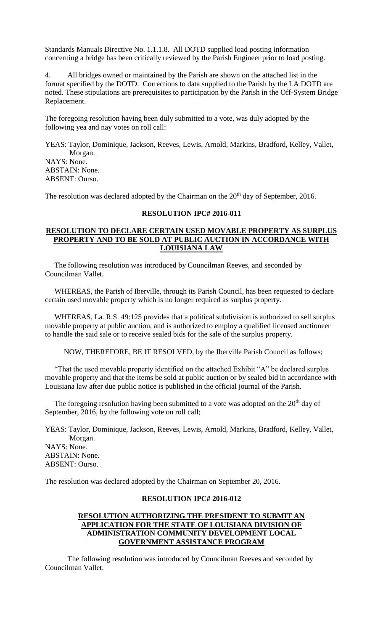Standards Manuals Directive No. 1.1.1.8. All DOTD supplied load posting information concerning a bridge has been critically reviewed by the Parish Engineer prior to load posting.

4. All bridges owned or maintained by the Parish are shown on the attached list in the format specified by the DOTD. Corrections to data supplied to the Parish by the LA DOTD are noted. These stipulations are prerequisites to participation by the Parish in the Off-System Bridge Replacement.

The foregoing resolution having been duly submitted to a vote, was duly adopted by the following yea and nay votes on roll call:

YEAS: Taylor, Dominique, Jackson, Reeves, Lewis, Arnold, Markins, Bradford, Kelley, Vallet, Morgan. NAYS: None. ABSTAIN: None. ABSENT: Ourso.

The resolution was declared adopted by the Chairman on the  $20<sup>th</sup>$  day of September, 2016.

# **RESOLUTION IPC# 2016-011**

### **RESOLUTION TO DECLARE CERTAIN USED MOVABLE PROPERTY AS SURPLUS PROPERTY AND TO BE SOLD AT PUBLIC AUCTION IN ACCORDANCE WITH LOUISIANA LAW**

 The following resolution was introduced by Councilman Reeves, and seconded by Councilman Vallet.

 WHEREAS, the Parish of Iberville, through its Parish Council, has been requested to declare certain used movable property which is no longer required as surplus property.

 WHEREAS, La. R.S. 49:125 provides that a political subdivision is authorized to sell surplus movable property at public auction, and is authorized to employ a qualified licensed auctioneer to handle the said sale or to receive sealed bids for the sale of the surplus property.

NOW, THEREFORE, BE IT RESOLVED, by the Iberville Parish Council as follows;

 "That the used movable property identified on the attached Exhibit "A" be declared surplus movable property and that the items be sold at public auction or by sealed bid in accordance with Louisiana law after due public notice is published in the official journal of the Parish.

The foregoing resolution having been submitted to a vote was adopted on the  $20<sup>th</sup>$  day of September, 2016, by the following vote on roll call;

YEAS: Taylor, Dominique, Jackson, Reeves, Lewis, Arnold, Markins, Bradford, Kelley, Vallet, Morgan. NAYS: None. ABSTAIN: None. ABSENT: Ourso.

The resolution was declared adopted by the Chairman on September 20, 2016.

#### **RESOLUTION IPC# 2016-012**

# **RESOLUTION AUTHORIZING THE PRESIDENT TO SUBMIT AN APPLICATION FOR THE STATE OF LOUISIANA DIVISION OF ADMINISTRATION COMMUNITY DEVELOPMENT LOCAL GOVERNMENT ASSISTANCE PROGRAM**

The following resolution was introduced by Councilman Reeves and seconded by Councilman Vallet.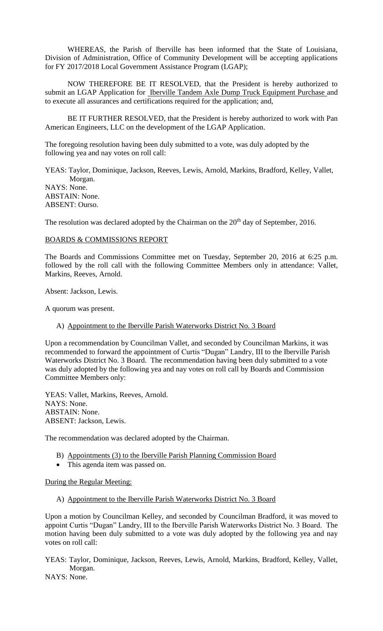WHEREAS, the Parish of Iberville has been informed that the State of Louisiana, Division of Administration, Office of Community Development will be accepting applications for FY 2017/2018 Local Government Assistance Program (LGAP);

NOW THEREFORE BE IT RESOLVED, that the President is hereby authorized to submit an LGAP Application for Iberville Tandem Axle Dump Truck Equipment Purchase and to execute all assurances and certifications required for the application; and,

BE IT FURTHER RESOLVED, that the President is hereby authorized to work with Pan American Engineers, LLC on the development of the LGAP Application.

The foregoing resolution having been duly submitted to a vote, was duly adopted by the following yea and nay votes on roll call:

YEAS: Taylor, Dominique, Jackson, Reeves, Lewis, Arnold, Markins, Bradford, Kelley, Vallet, Morgan. NAYS: None. ABSTAIN: None. ABSENT: Ourso.

The resolution was declared adopted by the Chairman on the  $20<sup>th</sup>$  day of September, 2016.

#### BOARDS & COMMISSIONS REPORT

The Boards and Commissions Committee met on Tuesday, September 20, 2016 at 6:25 p.m. followed by the roll call with the following Committee Members only in attendance: Vallet, Markins, Reeves, Arnold.

Absent: Jackson, Lewis.

A quorum was present.

A) Appointment to the Iberville Parish Waterworks District No. 3 Board

Upon a recommendation by Councilman Vallet, and seconded by Councilman Markins, it was recommended to forward the appointment of Curtis "Dugan" Landry, III to the Iberville Parish Waterworks District No. 3 Board. The recommendation having been duly submitted to a vote was duly adopted by the following yea and nay votes on roll call by Boards and Commission Committee Members only:

YEAS: Vallet, Markins, Reeves, Arnold. NAYS: None. ABSTAIN: None. ABSENT: Jackson, Lewis.

The recommendation was declared adopted by the Chairman.

- B) Appointments (3) to the Iberville Parish Planning Commission Board
- This agenda item was passed on.

During the Regular Meeting:

A) Appointment to the Iberville Parish Waterworks District No. 3 Board

Upon a motion by Councilman Kelley, and seconded by Councilman Bradford, it was moved to appoint Curtis "Dugan" Landry, III to the Iberville Parish Waterworks District No. 3 Board. The motion having been duly submitted to a vote was duly adopted by the following yea and nay votes on roll call:

YEAS: Taylor, Dominique, Jackson, Reeves, Lewis, Arnold, Markins, Bradford, Kelley, Vallet, Morgan.

NAYS: None.